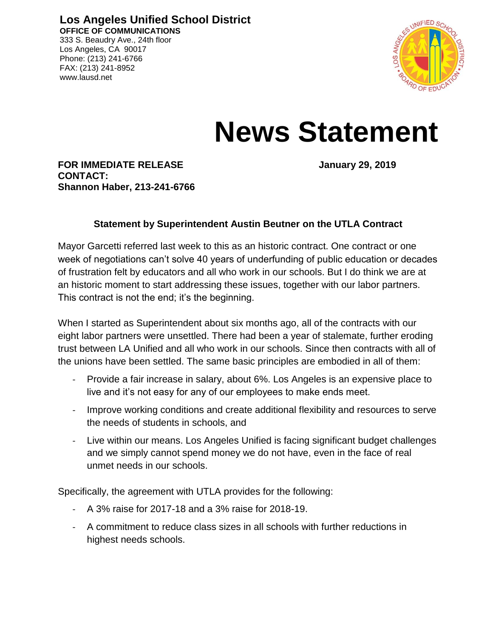**Los Angeles Unified School District OFFICE OF COMMUNICATIONS** 333 S. Beaudry Ave., 24th floor

Los Angeles, CA 90017 Phone: (213) 241-6766 FAX: (213) 241-8952 www.lausd.net



## **News Statement**

**FOR IMMEDIATE RELEASE January 29, 2019 CONTACT: Shannon Haber, 213-241-6766**

## **Statement by Superintendent Austin Beutner on the UTLA Contract**

Mayor Garcetti referred last week to this as an historic contract. One contract or one week of negotiations can't solve 40 years of underfunding of public education or decades of frustration felt by educators and all who work in our schools. But I do think we are at an historic moment to start addressing these issues, together with our labor partners. This contract is not the end; it's the beginning.

When I started as Superintendent about six months ago, all of the contracts with our eight labor partners were unsettled. There had been a year of stalemate, further eroding trust between LA Unified and all who work in our schools. Since then contracts with all of the unions have been settled. The same basic principles are embodied in all of them:

- Provide a fair increase in salary, about 6%. Los Angeles is an expensive place to live and it's not easy for any of our employees to make ends meet.
- Improve working conditions and create additional flexibility and resources to serve the needs of students in schools, and
- Live within our means. Los Angeles Unified is facing significant budget challenges and we simply cannot spend money we do not have, even in the face of real unmet needs in our schools.

Specifically, the agreement with UTLA provides for the following:

- A 3% raise for 2017-18 and a 3% raise for 2018-19.
- A commitment to reduce class sizes in all schools with further reductions in highest needs schools.